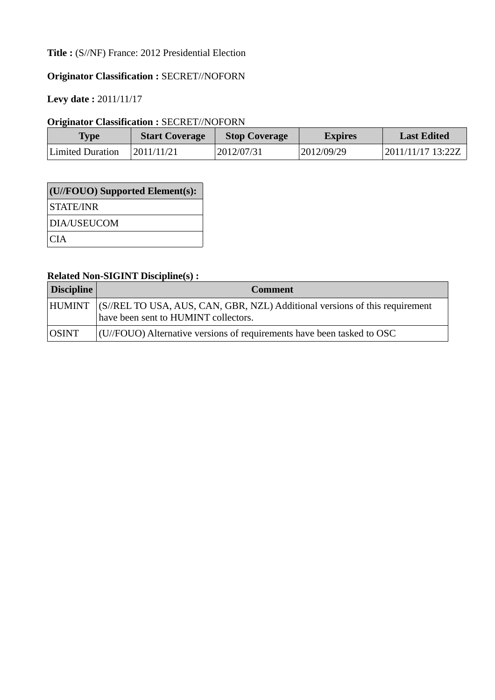# **Title :** (S//NF) France: 2012 Presidential Election

# **Originator Classification :** SECRET//NOFORN

**Levy date :** 2011/11/17

## **Originator Classification :** SECRET//NOFORN

| Type             | <b>Start Coverage</b> | <b>Stop Coverage</b> | <b>Expires</b> | <b>Last Edited</b> |
|------------------|-----------------------|----------------------|----------------|--------------------|
| Limited Duration | 2011/11/21            | 2012/07/31           | 2012/09/29     | 2011/11/17 13:22Z  |

| $\vert$ (U//FOUO) Supported Element(s): |
|-----------------------------------------|
| STATE/INR                               |
| DIA/USEUCOM                             |
| CIA <sup>.</sup>                        |

## **Related Non-SIGINT Discipline(s) :**

| Discipline   | <b>Comment</b>                                                                                                             |
|--------------|----------------------------------------------------------------------------------------------------------------------------|
|              | HUMINT (S//REL TO USA, AUS, CAN, GBR, NZL) Additional versions of this requirement<br>have been sent to HUMINT collectors. |
| <b>OSINT</b> | $\left($ U/FOUO) Alternative versions of requirements have been tasked to OSC                                              |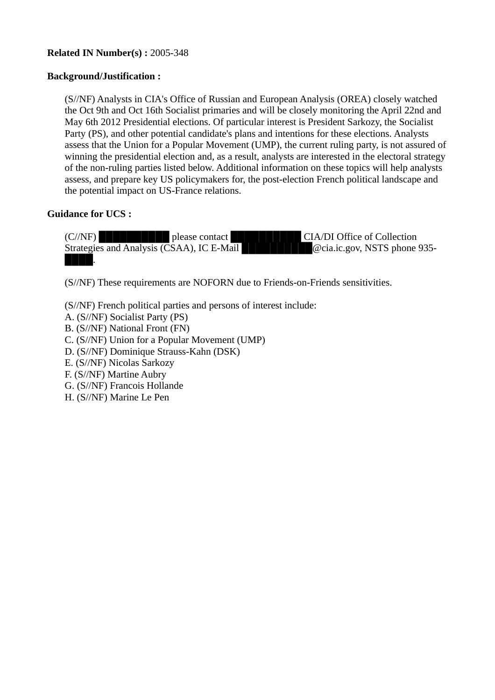## **Related IN Number(s) :** 2005-348

### **Background/Justification :**

(S//NF) Analysts in CIA's Office of Russian and European Analysis (OREA) closely watched the Oct 9th and Oct 16th Socialist primaries and will be closely monitoring the April 22nd and May 6th 2012 Presidential elections. Of particular interest is President Sarkozy, the Socialist Party (PS), and other potential candidate's plans and intentions for these elections. Analysts assess that the Union for a Popular Movement (UMP), the current ruling party, is not assured of winning the presidential election and, as a result, analysts are interested in the electoral strategy of the non-ruling parties listed below. Additional information on these topics will help analysts assess, and prepare key US policymakers for, the post-election French political landscape and the potential impact on US-France relations.

### **Guidance for UCS :**

(C//NF) **██████████** please contact ██████████ CIA/DI Office of Collection Strategies and Analysis (CSAA), IC E-Mail **EXECUTE:** 20 Ocia.ic.gov, NSTS phone 935-████.

(S//NF) These requirements are NOFORN due to Friends-on-Friends sensitivities.

(S//NF) French political parties and persons of interest include:

- A. (S//NF) Socialist Party (PS)
- B. (S//NF) National Front (FN)
- C. (S//NF) Union for a Popular Movement (UMP)
- D. (S//NF) Dominique Strauss-Kahn (DSK)
- E. (S//NF) Nicolas Sarkozy
- F. (S//NF) Martine Aubry
- G. (S//NF) Francois Hollande
- H. (S//NF) Marine Le Pen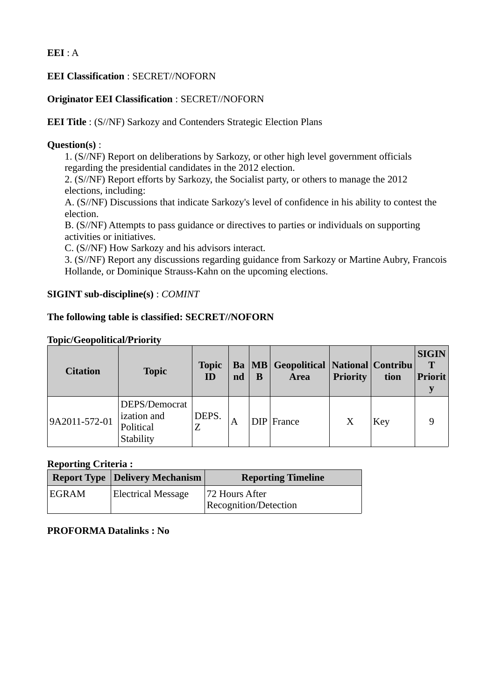## **EEI** : A

## **EEI Classification** : SECRET//NOFORN

## **Originator EEI Classification** : SECRET//NOFORN

**EEI Title** : (S//NF) Sarkozy and Contenders Strategic Election Plans

## **Question(s)** :

1. (S//NF) Report on deliberations by Sarkozy, or other high level government officials regarding the presidential candidates in the 2012 election.

2. (S//NF) Report efforts by Sarkozy, the Socialist party, or others to manage the 2012 elections, including:

A. (S//NF) Discussions that indicate Sarkozy's level of confidence in his ability to contest the election.

B. (S//NF) Attempts to pass guidance or directives to parties or individuals on supporting activities or initiatives.

C. (S//NF) How Sarkozy and his advisors interact.

3. (S//NF) Report any discussions regarding guidance from Sarkozy or Martine Aubry, Francois Hollande, or Dominique Strauss-Kahn on the upcoming elections.

## **SIGINT sub-discipline(s)** : *COMINT*

## **The following table is classified: SECRET//NOFORN**

### **Topic/Geopolitical/Priority**

| <b>Citation</b> | <b>Topic</b>                                           | <b>Topic</b><br>ID | nd | B | <b>Ba</b>   MB   Geopolitical   National   Contribu<br><b>Area</b> | <b>Priority</b> | tion       | <b>SIGIN</b><br>T<br><b>Priorit</b> |
|-----------------|--------------------------------------------------------|--------------------|----|---|--------------------------------------------------------------------|-----------------|------------|-------------------------------------|
| 9A2011-572-01   | DEPS/Democrat<br>ization and<br>Political<br>Stability | DEPS.<br>Z         | A  |   | $DIP$ France                                                       | Χ               | <b>Key</b> | 9                                   |

### **Reporting Criteria :**

|              | <b>Report Type Delivery Mechanism</b> | <b>Reporting Timeline</b>    |
|--------------|---------------------------------------|------------------------------|
| <b>EGRAM</b> | <b>Electrical Message</b>             | 72 Hours After               |
|              |                                       | <b>Recognition/Detection</b> |

### **PROFORMA Datalinks : No**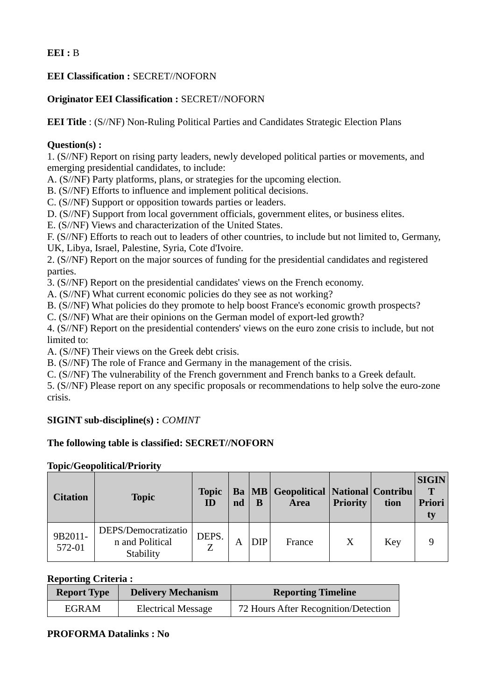## **EEI :** B

## **EEI Classification :** SECRET//NOFORN

## **Originator EEI Classification :** SECRET//NOFORN

**EEI Title** : (S//NF) Non-Ruling Political Parties and Candidates Strategic Election Plans

## **Question(s) :**

1. (S//NF) Report on rising party leaders, newly developed political parties or movements, and emerging presidential candidates, to include:

A. (S//NF) Party platforms, plans, or strategies for the upcoming election.

B. (S//NF) Efforts to influence and implement political decisions.

C. (S//NF) Support or opposition towards parties or leaders.

D. (S//NF) Support from local government officials, government elites, or business elites.

E. (S//NF) Views and characterization of the United States.

F. (S//NF) Efforts to reach out to leaders of other countries, to include but not limited to, Germany, UK, Libya, Israel, Palestine, Syria, Cote d'Ivoire.

2. (S//NF) Report on the major sources of funding for the presidential candidates and registered parties.

3. (S//NF) Report on the presidential candidates' views on the French economy.

A. (S//NF) What current economic policies do they see as not working?

B. (S//NF) What policies do they promote to help boost France's economic growth prospects?

C. (S//NF) What are their opinions on the German model of export-led growth?

4. (S//NF) Report on the presidential contenders' views on the euro zone crisis to include, but not limited to:

A. (S//NF) Their views on the Greek debt crisis.

B. (S//NF) The role of France and Germany in the management of the crisis.

C. (S//NF) The vulnerability of the French government and French banks to a Greek default.

5. (S//NF) Please report on any specific proposals or recommendations to help solve the euro-zone crisis.

## **SIGINT sub-discipline(s) :** *COMINT*

## **The following table is classified: SECRET//NOFORN**

### **Topic/Geopolitical/Priority**

| Citation          | <b>Topic</b>                                        | <b>Topic</b><br>ID | nd | в          | <b>Ba</b>   MB   Geopolitical   National   Contribu<br><b>Area</b> | <b>Priority</b> | tion | <b>SIGIN</b><br>T<br><b>Priori</b><br>ty |
|-------------------|-----------------------------------------------------|--------------------|----|------------|--------------------------------------------------------------------|-----------------|------|------------------------------------------|
| 9B2011-<br>572-01 | DEPS/Democratizatio<br>n and Political<br>Stability | DEPS.<br>Z         | А  | <b>DIP</b> | France                                                             |                 | Key  | 9                                        |

## **Reporting Criteria :**

| <b>Report Type</b> | <b>Delivery Mechanism</b> | <b>Reporting Timeline</b>            |
|--------------------|---------------------------|--------------------------------------|
| EGRAM              | <b>Electrical Message</b> | 72 Hours After Recognition/Detection |

## **PROFORMA Datalinks : No**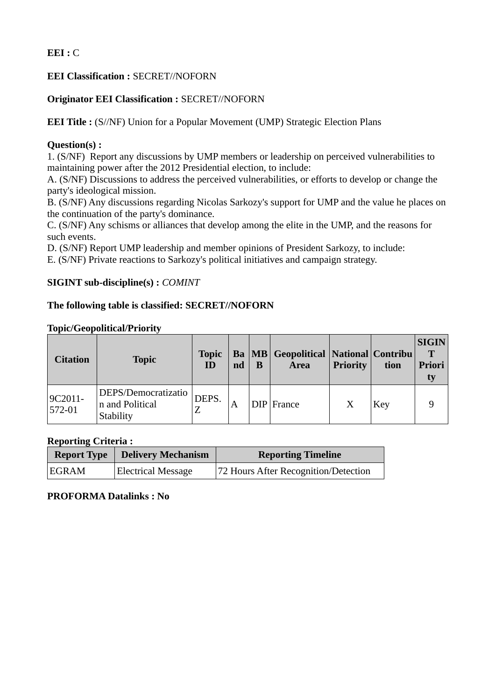## **EEI :** C

## **EEI Classification :** SECRET//NOFORN

### **Originator EEI Classification :** SECRET//NOFORN

**EEI Title :** (S//NF) Union for a Popular Movement (UMP) Strategic Election Plans

### **Question(s) :**

1. (S/NF) Report any discussions by UMP members or leadership on perceived vulnerabilities to maintaining power after the 2012 Presidential election, to include:

A. (S/NF) Discussions to address the perceived vulnerabilities, or efforts to develop or change the party's ideological mission.

B. (S/NF) Any discussions regarding Nicolas Sarkozy's support for UMP and the value he places on the continuation of the party's dominance.

C. (S/NF) Any schisms or alliances that develop among the elite in the UMP, and the reasons for such events.

D. (S/NF) Report UMP leadership and member opinions of President Sarkozy, to include:

E. (S/NF) Private reactions to Sarkozy's political initiatives and campaign strategy.

## **SIGINT sub-discipline(s) :** *COMINT*

### **The following table is classified: SECRET//NOFORN**

#### **Topic/Geopolitical/Priority**

| <b>Citation</b>       | <b>Topic</b>                                        | <b>Topic</b><br>ID | nd | B | <b>Ba</b>   MB   Geopolitical   National   Contribu<br><b>Area</b> | <b>Priority</b> | tion       | <b>SIGIN</b><br>T<br><b>Priori</b><br>ty |
|-----------------------|-----------------------------------------------------|--------------------|----|---|--------------------------------------------------------------------|-----------------|------------|------------------------------------------|
| 9C2011-<br>$572 - 01$ | DEPS/Democratizatio<br>n and Political<br>Stability | DEPS.              |    |   | $DIP$ France                                                       |                 | <b>Key</b> | 9                                        |

### **Reporting Criteria :**

|       | <b>Report Type   Delivery Mechanism</b> | <b>Reporting Timeline</b>            |
|-------|-----------------------------------------|--------------------------------------|
| EGRAM | <b>Electrical Message</b>               | 72 Hours After Recognition/Detection |

## **PROFORMA Datalinks : No**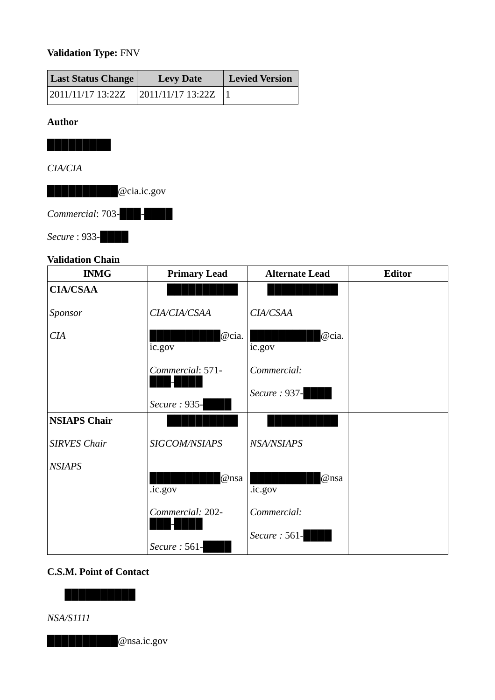# **Validation Type:** FNV

| Last Status Change | <b>Levy Date</b>    | <b>Levied Version</b> |  |
|--------------------|---------------------|-----------------------|--|
| 2011/11/17 13:22Z  | $2011/11/17$ 13:22Z |                       |  |

### **Author**

**█████████**

## *CIA/CIA*

██████████@cia.ic.gov

*Commercial*: 703-███-████

*Secure* : 933-

## **Validation Chain**

| <b>INMG</b>         | <b>Primary Lead</b> | <b>Alternate Lead</b> | <b>Editor</b> |
|---------------------|---------------------|-----------------------|---------------|
| <b>CIA/CSAA</b>     |                     |                       |               |
| Sponsor             | CIA/CIA/CSAA        | CIA/CSAA              |               |
| CIA                 | @cia.<br>ic.gov     | @cia.<br>ic.gov       |               |
|                     | Commercial: 571-    | Commercial:           |               |
|                     | Secure: 935-        | Secure: 937-          |               |
| <b>NSIAPS Chair</b> |                     |                       |               |
| <b>SIRVES Chair</b> | SIGCOM/NSIAPS       | <b>NSA/NSIAPS</b>     |               |
| <b>NSIAPS</b>       | @nsa<br>.ic.gov     | @nsa<br>.ic.gov       |               |
|                     | Commercial: 202-    | Commercial:           |               |
|                     | Secure: 561-        | Secure: 561-          |               |

## **C.S.M. Point of Contact**

**██████████**

*NSA/S1111*